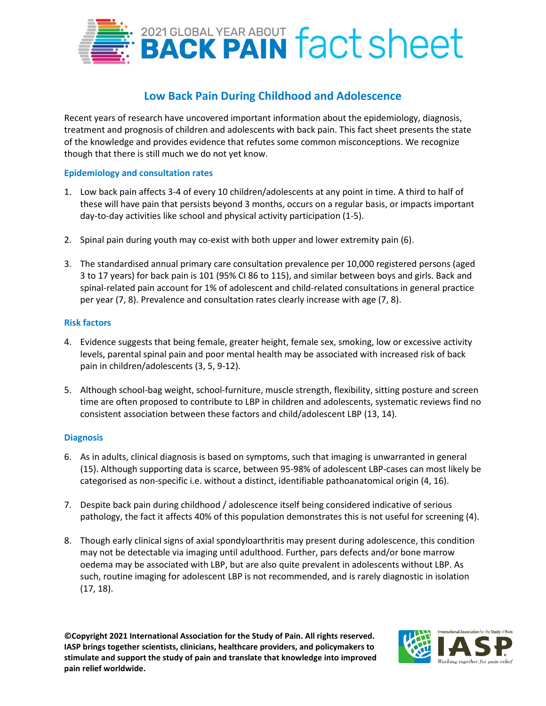

# **Low Back Pain During Childhood and Adolescence**

Recent years of research have uncovered important information about the epidemiology, diagnosis, treatment and prognosis of children and adolescents with back pain. This fact sheet presents the state of the knowledge and provides evidence that refutes some common misconceptions. We recognize though that there is still much we do not yet know.

# **Epidemiology and consultation rates**

- 1. Low back pain affects 3-4 of every 10 children/adolescents at any point in time. A third to half of these will have pain that persists beyond 3 months, occurs on a regular basis, or impacts important day-to-day activities like school and physical activity participation (1-5).
- 2. Spinal pain during youth may co-exist with both upper and lower extremity pain (6).
- 3. The standardised annual primary care consultation prevalence per 10,000 registered persons (aged 3 to 17 years) for back pain is 101 (95% CI 86 to 115), and similar between boys and girls. Back and spinal-related pain account for 1% of adolescent and child-related consultations in general practice per year (7, 8). Prevalence and consultation rates clearly increase with age (7, 8).

## **Risk factors**

- 4. Evidence suggests that being female, greater height, female sex, smoking, low or excessive activity levels, parental spinal pain and poor mental health may be associated with increased risk of back pain in children/adolescents (3, 5, 9-12).
- 5. Although school-bag weight, school-furniture, muscle strength, flexibility, sitting posture and screen time are often proposed to contribute to LBP in children and adolescents, systematic reviews find no consistent association between these factors and child/adolescent LBP (13, 14).

## **Diagnosis**

- 6. As in adults, clinical diagnosis is based on symptoms, such that imaging is unwarranted in general (15). Although supporting data is scarce, between 95-98% of adolescent LBP-cases can most likely be categorised as non-specific i.e. without a distinct, identifiable pathoanatomical origin (4, 16).
- 7. Despite back pain during childhood / adolescence itself being considered indicative of serious pathology, the fact it affects 40% of this population demonstrates this is not useful for screening (4).
- 8. Though early clinical signs of axial spondyloarthritis may present during adolescence, this condition may not be detectable via imaging until adulthood. Further, pars defects and/or bone marrow oedema may be associated with LBP, but are also quite prevalent in adolescents without LBP. As such, routine imaging for adolescent LBP is not recommended, and is rarely diagnostic in isolation (17, 18).

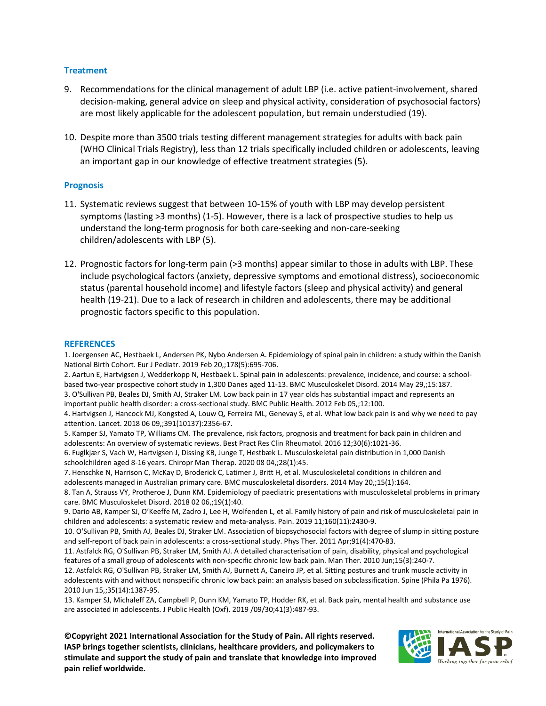## **Treatment**

- 9. Recommendations for the clinical management of adult LBP (i.e. active patient-involvement, shared decision-making, general advice on sleep and physical activity, consideration of psychosocial factors) are most likely applicable for the adolescent population, but remain understudied (19).
- 10. Despite more than 3500 trials testing different management strategies for adults with back pain (WHO Clinical Trials Registry), less than 12 trials specifically included children or adolescents, leaving an important gap in our knowledge of effective treatment strategies (5).

#### **Prognosis**

- 11. Systematic reviews suggest that between 10-15% of youth with LBP may develop persistent symptoms (lasting >3 months) (1-5). However, there is a lack of prospective studies to help us understand the long-term prognosis for both care-seeking and non-care-seeking children/adolescents with LBP (5).
- 12. Prognostic factors for long-term pain (>3 months) appear similar to those in adults with LBP. These include psychological factors (anxiety, depressive symptoms and emotional distress), socioeconomic status (parental household income) and lifestyle factors (sleep and physical activity) and general health (19-21). Due to a lack of research in children and adolescents, there may be additional prognostic factors specific to this population.

#### **REFERENCES**

1. Joergensen AC, Hestbaek L, Andersen PK, Nybo Andersen A. Epidemiology of spinal pain in children: a study within the Danish National Birth Cohort. Eur J Pediatr. 2019 Feb 20,;178(5):695-706.

2. Aartun E, Hartvigsen J, Wedderkopp N, Hestbaek L. Spinal pain in adolescents: prevalence, incidence, and course: a schoolbased two-year prospective cohort study in 1,300 Danes aged 11-13. BMC Musculoskelet Disord. 2014 May 29,;15:187. 3. O'Sullivan PB, Beales DJ, Smith AJ, Straker LM. Low back pain in 17 year olds has substantial impact and represents an important public health disorder: a cross-sectional study. BMC Public Health. 2012 Feb 05,;12:100.

4. Hartvigsen J, Hancock MJ, Kongsted A, Louw Q, Ferreira ML, Genevay S, et al. What low back pain is and why we need to pay attention. Lancet. 2018 06 09,;391(10137):2356-67.

5. Kamper SJ, Yamato TP, Williams CM. The prevalence, risk factors, prognosis and treatment for back pain in children and adolescents: An overview of systematic reviews. Best Pract Res Clin Rheumatol. 2016 12;30(6):1021-36.

6. Fuglkjær S, Vach W, Hartvigsen J, Dissing KB, Junge T, Hestbæk L. Musculoskeletal pain distribution in 1,000 Danish schoolchildren aged 8-16 years. Chiropr Man Therap. 2020 08 04,;28(1):45.

7. Henschke N, Harrison C, McKay D, Broderick C, Latimer J, Britt H, et al. Musculoskeletal conditions in children and adolescents managed in Australian primary care. BMC musculoskeletal disorders. 2014 May 20,;15(1):164.

8. Tan A, Strauss VY, Protheroe J, Dunn KM. Epidemiology of paediatric presentations with musculoskeletal problems in primary care. BMC Musculoskelet Disord. 2018 02 06,;19(1):40.

9. Dario AB, Kamper SJ, O'Keeffe M, Zadro J, Lee H, Wolfenden L, et al. Family history of pain and risk of musculoskeletal pain in children and adolescents: a systematic review and meta-analysis. Pain. 2019 11;160(11):2430-9.

10. O'Sullivan PB, Smith AJ, Beales DJ, Straker LM. Association of biopsychosocial factors with degree of slump in sitting posture and self-report of back pain in adolescents: a cross-sectional study. Phys Ther. 2011 Apr;91(4):470-83.

11. Astfalck RG, O'Sullivan PB, Straker LM, Smith AJ. A detailed characterisation of pain, disability, physical and psychological features of a small group of adolescents with non-specific chronic low back pain. Man Ther. 2010 Jun;15(3):240-7.

12. Astfalck RG, O'Sullivan PB, Straker LM, Smith AJ, Burnett A, Caneiro JP, et al. Sitting postures and trunk muscle activity in adolescents with and without nonspecific chronic low back pain: an analysis based on subclassification. Spine (Phila Pa 1976). 2010 Jun 15,;35(14):1387-95.

13. Kamper SJ, Michaleff ZA, Campbell P, Dunn KM, Yamato TP, Hodder RK, et al. Back pain, mental health and substance use are associated in adolescents. J Public Health (Oxf). 2019 /09/30;41(3):487-93.

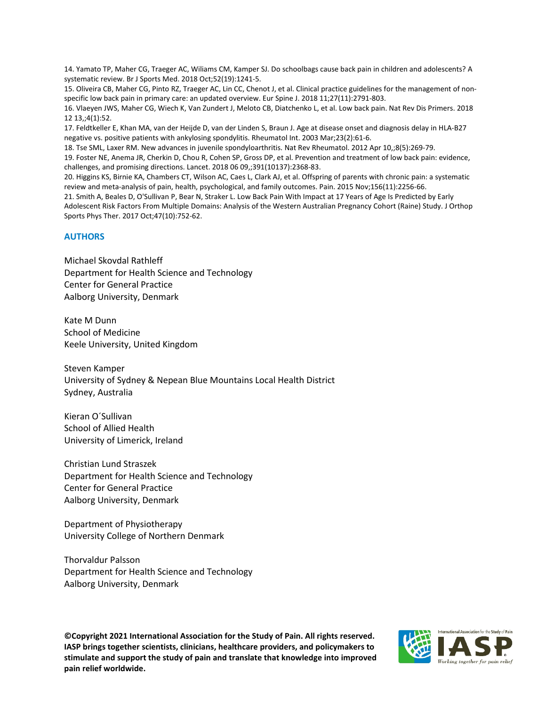14. Yamato TP, Maher CG, Traeger AC, Wiliams CM, Kamper SJ. Do schoolbags cause back pain in children and adolescents? A systematic review. Br J Sports Med. 2018 Oct;52(19):1241-5.

15. Oliveira CB, Maher CG, Pinto RZ, Traeger AC, Lin CC, Chenot J, et al. Clinical practice guidelines for the management of nonspecific low back pain in primary care: an updated overview. Eur Spine J. 2018 11;27(11):2791-803.

16. Vlaeyen JWS, Maher CG, Wiech K, Van Zundert J, Meloto CB, Diatchenko L, et al. Low back pain. Nat Rev Dis Primers. 2018 12 13,;4(1):52.

17. Feldtkeller E, Khan MA, van der Heijde D, van der Linden S, Braun J. Age at disease onset and diagnosis delay in HLA-B27 negative vs. positive patients with ankylosing spondylitis. Rheumatol Int. 2003 Mar;23(2):61-6.

18. Tse SML, Laxer RM. New advances in juvenile spondyloarthritis. Nat Rev Rheumatol. 2012 Apr 10,;8(5):269-79.

19. Foster NE, Anema JR, Cherkin D, Chou R, Cohen SP, Gross DP, et al. Prevention and treatment of low back pain: evidence, challenges, and promising directions. Lancet. 2018 06 09,;391(10137):2368-83.

20. Higgins KS, Birnie KA, Chambers CT, Wilson AC, Caes L, Clark AJ, et al. Offspring of parents with chronic pain: a systematic review and meta-analysis of pain, health, psychological, and family outcomes. Pain. 2015 Nov;156(11):2256-66.

21. Smith A, Beales D, O'Sullivan P, Bear N, Straker L. Low Back Pain With Impact at 17 Years of Age Is Predicted by Early Adolescent Risk Factors From Multiple Domains: Analysis of the Western Australian Pregnancy Cohort (Raine) Study. J Orthop Sports Phys Ther. 2017 Oct;47(10):752-62.

#### **AUTHORS**

Michael Skovdal Rathleff Department for Health Science and Technology Center for General Practice Aalborg University, Denmark

Kate M Dunn School of Medicine Keele University, United Kingdom

Steven Kamper University of Sydney & Nepean Blue Mountains Local Health District Sydney, Australia

Kieran O´Sullivan School of Allied Health University of Limerick, Ireland

Christian Lund Straszek Department for Health Science and Technology Center for General Practice Aalborg University, Denmark

Department of Physiotherapy University College of Northern Denmark

Thorvaldur Palsson Department for Health Science and Technology Aalborg University, Denmark